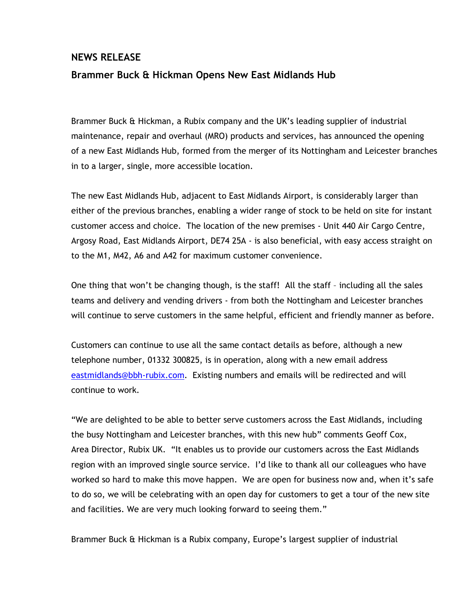## NEWS RELEASE Brammer Buck & Hickman Opens New East Midlands Hub

Brammer Buck & Hickman, a Rubix company and the UK's leading supplier of industrial maintenance, repair and overhaul (MRO) products and services, has announced the opening of a new East Midlands Hub, formed from the merger of its Nottingham and Leicester branches in to a larger, single, more accessible location.

The new East Midlands Hub, adjacent to East Midlands Airport, is considerably larger than either of the previous branches, enabling a wider range of stock to be held on site for instant customer access and choice. The location of the new premises - Unit 440 Air Cargo Centre, Argosy Road, East Midlands Airport, DE74 25A - is also beneficial, with easy access straight on to the M1, M42, A6 and A42 for maximum customer convenience.

One thing that won't be changing though, is the staff! All the staff – including all the sales teams and delivery and vending drivers - from both the Nottingham and Leicester branches will continue to serve customers in the same helpful, efficient and friendly manner as before.

Customers can continue to use all the same contact details as before, although a new telephone number, 01332 300825, is in operation, along with a new email address eastmidlands@bbh-rubix.com. Existing numbers and emails will be redirected and will continue to work.

"We are delighted to be able to better serve customers across the East Midlands, including the busy Nottingham and Leicester branches, with this new hub" comments Geoff Cox, Area Director, Rubix UK. "It enables us to provide our customers across the East Midlands region with an improved single source service. I'd like to thank all our colleagues who have worked so hard to make this move happen. We are open for business now and, when it's safe to do so, we will be celebrating with an open day for customers to get a tour of the new site and facilities. We are very much looking forward to seeing them."

Brammer Buck & Hickman is a Rubix company, Europe's largest supplier of industrial